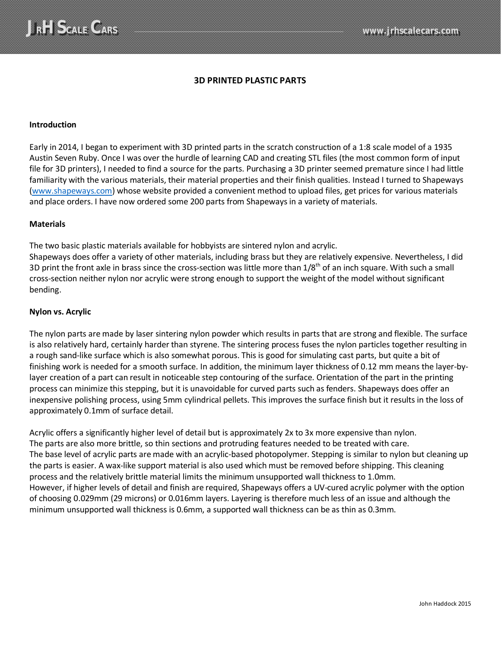## **3D PRINTED PLASTIC PARTS**

### **Introduction**

Early in 2014, I began to experiment with 3D printed parts in the scratch construction of a 1:8 scale model of a 1935 Austin Seven Ruby. Once I was over the hurdle of learning CAD and creating STL files (the most common form of input file for 3D printers), I needed to find a source for the parts. Purchasing a 3D printer seemed premature since I had little familiarity with the various materials, their material properties and their finish qualities. Instead I turned to Shapeways [\(www.shapeways.com\)](http://www.shapeways.com/) whose website provided a convenient method to upload files, get prices for various materials and place orders. I have now ordered some 200 parts from Shapeways in a variety of materials.

#### **Materials**

The two basic plastic materials available for hobbyists are sintered nylon and acrylic.

Shapeways does offer a variety of other materials, including brass but they are relatively expensive. Nevertheless, I did 3D print the front axle in brass since the cross-section was little more than  $1/8^{th}$  of an inch square. With such a small cross-section neither nylon nor acrylic were strong enough to support the weight of the model without significant bending.

### **Nylon vs. Acrylic**

The nylon parts are made by laser sintering nylon powder which results in parts that are strong and flexible. The surface is also relatively hard, certainly harder than styrene. The sintering process fuses the nylon particles together resulting in a rough sand-like surface which is also somewhat porous. This is good for simulating cast parts, but quite a bit of finishing work is needed for a smooth surface. In addition, the minimum layer thickness of 0.12 mm means the layer-bylayer creation of a part can result in noticeable step contouring of the surface. Orientation of the part in the printing process can minimize this stepping, but it is unavoidable for curved parts such as fenders. Shapeways does offer an inexpensive polishing process, using 5mm cylindrical pellets. This improves the surface finish but it results in the loss of approximately 0.1mm of surface detail.

Acrylic offers a significantly higher level of detail but is approximately 2x to 3x more expensive than nylon. The parts are also more brittle, so thin sections and protruding features needed to be treated with care. The base level of acrylic parts are made with an acrylic-based photopolymer. Stepping is similar to nylon but cleaning up the parts is easier. A wax-like support material is also used which must be removed before shipping. This cleaning process and the relatively brittle material limits the minimum unsupported wall thickness to 1.0mm. However, if higher levels of detail and finish are required, Shapeways offers a UV-cured acrylic polymer with the option of choosing 0.029mm (29 microns) or 0.016mm layers. Layering is therefore much less of an issue and although the minimum unsupported wall thickness is 0.6mm, a supported wall thickness can be as thin as 0.3mm.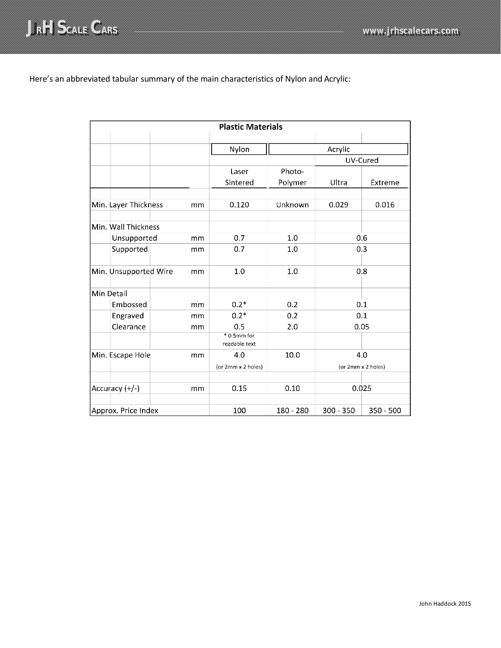

# Here's an abbreviated tabular summary of the main characteristics of Nylon and Acrylic:

| <b>Plastic Materials</b> |                       |                     |                                 |           |             |                    |
|--------------------------|-----------------------|---------------------|---------------------------------|-----------|-------------|--------------------|
|                          |                       |                     | Nylon                           |           | Acrylic     |                    |
|                          |                       |                     |                                 | UV-Cured  |             |                    |
|                          |                       |                     | Laser                           | Photo-    |             |                    |
|                          |                       |                     | Sintered                        | Polymer   | Ultra       | Extreme            |
|                          | Min. Layer Thickness  | mm                  | 0.120                           | Unknown   | 0.029       | 0.016              |
|                          | Min. Wall Thickness   |                     |                                 |           |             |                    |
|                          | Unsupported           | mm                  | 0.7                             | 1.0       | 0.6         |                    |
|                          | Supported             | mm                  | 0.7                             | 1.0       | 0.3         |                    |
|                          | Min. Unsupported Wire | mm                  | 1.0                             | 1.0       | 0.8         |                    |
|                          | Min Detail            |                     |                                 |           |             |                    |
|                          | Embossed              | 0.2<br>$0.2*$<br>mm |                                 |           | 0.1         |                    |
|                          | Engraved              | mm                  | $0.2*$                          | 0.2       | 0.1         |                    |
|                          | Clearance             | mm                  | 0.5                             | 2.0       | 0.05        |                    |
|                          |                       |                     | $* 0.5$ mm for<br>readable text |           |             |                    |
| Min. Escape Hole<br>mm   |                       | 4.0                 | 10.0                            | 4.0       |             |                    |
|                          |                       |                     | (or 2mm x 2 holes)              |           |             | (or 2mm x 2 holes) |
| Accuracy (+/-)<br>mm     |                       | 0.15                | 0.10                            | 0.025     |             |                    |
| Approx. Price Index      |                       |                     | 100                             | 180 - 280 | $300 - 350$ | $350 - 500$        |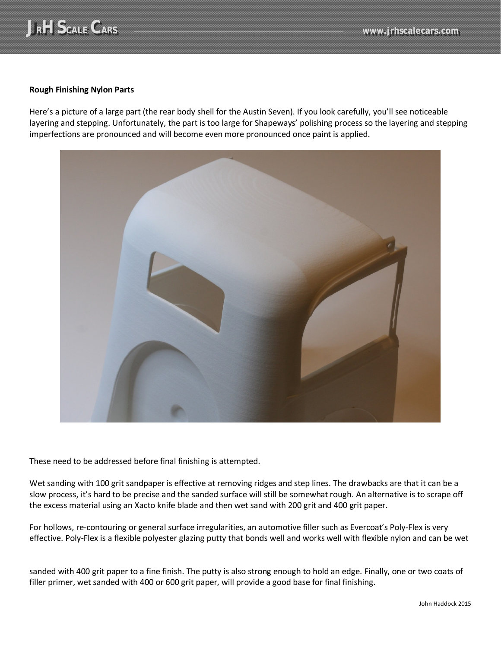

## **Rough Finishing Nylon Parts**

Here's a picture of a large part (the rear body shell for the Austin Seven). If you look carefully, you'll see noticeable layering and stepping. Unfortunately, the part is too large for Shapeways' polishing process so the layering and stepping imperfections are pronounced and will become even more pronounced once paint is applied.



These need to be addressed before final finishing is attempted.

Wet sanding with 100 grit sandpaper is effective at removing ridges and step lines. The drawbacks are that it can be a slow process, it's hard to be precise and the sanded surface will still be somewhat rough. An alternative is to scrape off the excess material using an Xacto knife blade and then wet sand with 200 grit and 400 grit paper.

For hollows, re-contouring or general surface irregularities, an automotive filler such as Evercoat's Poly-Flex is very effective. Poly-Flex is a flexible polyester glazing putty that bonds well and works well with flexible nylon and can be wet

sanded with 400 grit paper to a fine finish. The putty is also strong enough to hold an edge. Finally, one or two coats of filler primer, wet sanded with 400 or 600 grit paper, will provide a good base for final finishing.